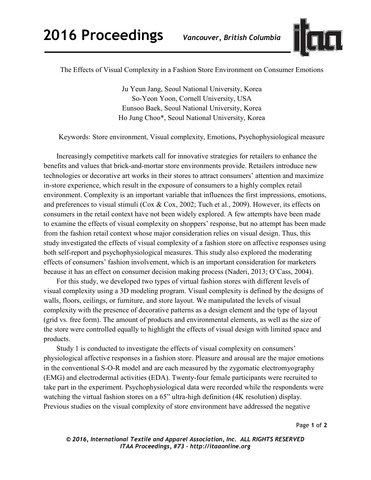

The Effects of Visual Complexity in a Fashion Store Environment on Consumer Emotions

Ju Yeun Jang, Seoul National University, Korea So-Yeon Yoon, Cornell University, USA Eunsoo Baek, Seoul National University, Korea Ho Jung Choo\*, Seoul National University, Korea

Keywords: Store environment, Visual complexity, Emotions, Psychophysiological measure

Increasingly competitive markets call for innovative strategies for retailers to enhance the benefits and values that brick-and-mortar store environments provide. Retailers introduce new technologies or decorative art works in their stores to attract consumers' attention and maximize in-store experience, which result in the exposure of consumers to a highly complex retail environment. Complexity is an important variable that influences the first impressions, emotions, and preferences to visual stimuli (Cox & Cox, 2002; Tuch et al., 2009). However, its effects on consumers in the retail context have not been widely explored. A few attempts have been made to examine the effects of visual complexity on shoppers' response, but no attempt has been made from the fashion retail context whose major consideration relies on visual design. Thus, this study investigated the effects of visual complexity of a fashion store on affective responses using both self-report and psychophysiological measures. This study also explored the moderating effects of consumers' fashion involvement, which is an important consideration for marketers because it has an effect on consumer decision making process (Naderi, 2013; O'Cass, 2004).

For this study, we developed two types of virtual fashion stores with different levels of visual complexity using a 3D modeling program. Visual complexity is defined by the designs of walls, floors, ceilings, or furniture, and store layout. We manipulated the levels of visual complexity with the presence of decorative patterns as a design element and the type of layout (grid vs. free form). The amount of products and environmental elements, as well as the size of the store were controlled equally to highlight the effects of visual design with limited space and products.

Study 1 is conducted to investigate the effects of visual complexity on consumers' physiological affective responses in a fashion store. Pleasure and arousal are the major emotions in the conventional S-O-R model and are each measured by the zygomatic electromyography (EMG) and electrodermal activities (EDA). Twenty-four female participants were recruited to take part in the experiment. Psychophysiological data were recorded while the respondents were watching the virtual fashion stores on a 65" ultra-high definition (4K resolution) display. Previous studies on the visual complexity of store environment have addressed the negative

Page **1** of **2**